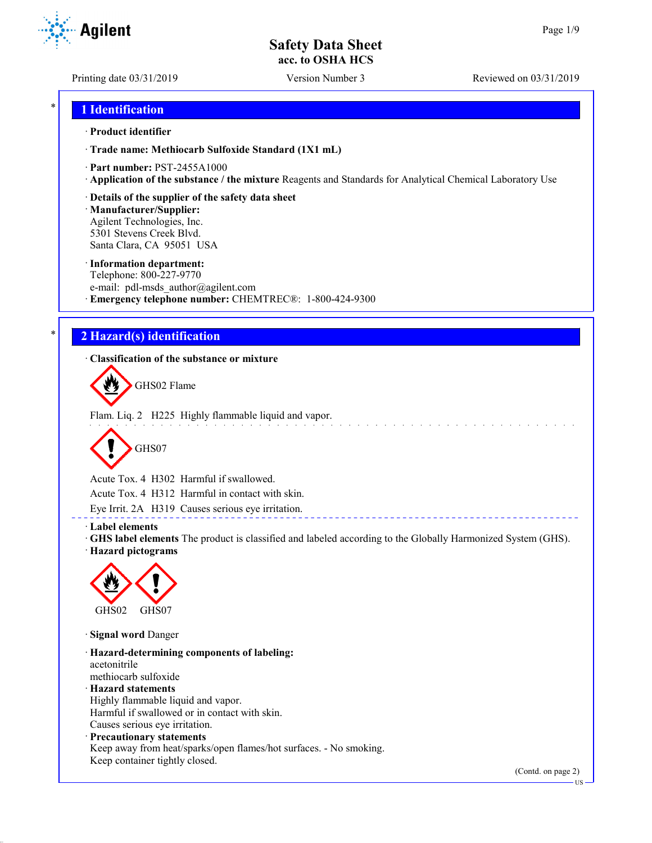Printing date 03/31/2019 Version Number 3 Reviewed on 03/31/2019

## \* **1 Identification**

Agilent

### · **Product identifier**

· **Trade name: Methiocarb Sulfoxide Standard (1X1 mL)**

- · **Part number:** PST-2455A1000
- · **Application of the substance / the mixture** Reagents and Standards for Analytical Chemical Laboratory Use
- · **Details of the supplier of the safety data sheet**

· **Manufacturer/Supplier:** Agilent Technologies, Inc. 5301 Stevens Creek Blvd. Santa Clara, CA 95051 USA

#### · **Information department:**

Telephone: 800-227-9770 e-mail: pdl-msds author@agilent.com · **Emergency telephone number:** CHEMTREC®: 1-800-424-9300

## \* **2 Hazard(s) identification**

· **Classification of the substance or mixture**

GHS02 Flame

Flam. Liq. 2 H225 Highly flammable liquid and vapor.



Acute Tox. 4 H302 Harmful if swallowed.

Acute Tox. 4 H312 Harmful in contact with skin.

Eye Irrit. 2A H319 Causes serious eye irritation.

#### · **Label elements**

· **GHS label elements** The product is classified and labeled according to the Globally Harmonized System (GHS).

and the state of the

· **Hazard pictograms**



· **Signal word** Danger

· **Hazard-determining components of labeling:** acetonitrile methiocarb sulfoxide · **Hazard statements** Highly flammable liquid and vapor. Harmful if swallowed or in contact with skin. Causes serious eye irritation. · **Precautionary statements**

Keep away from heat/sparks/open flames/hot surfaces. - No smoking. Keep container tightly closed.

> (Contd. on page 2) US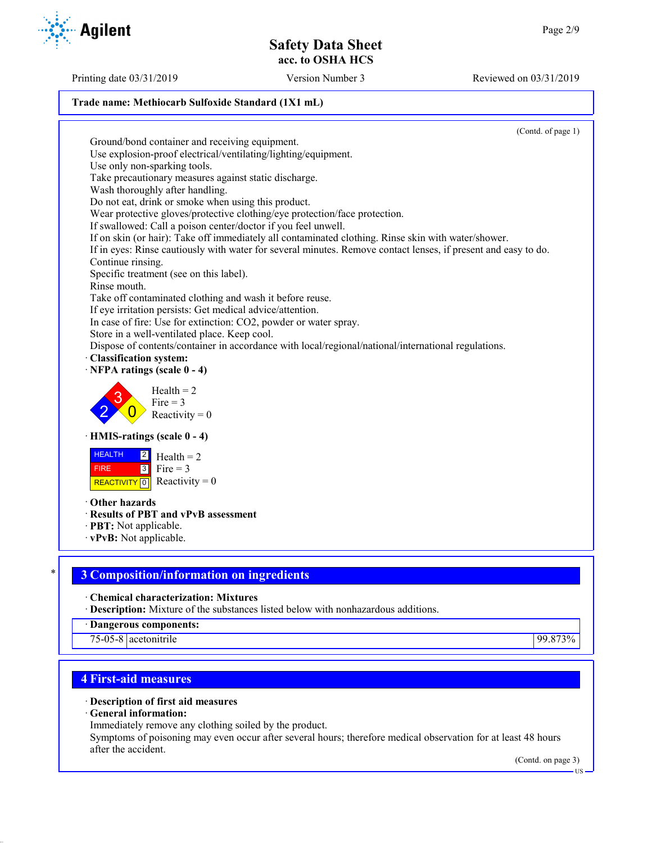Printing date 03/31/2019 Version Number 3 Reviewed on 03/31/2019

### **Trade name: Methiocarb Sulfoxide Standard (1X1 mL)**

(Contd. of page 1) Ground/bond container and receiving equipment. Use explosion-proof electrical/ventilating/lighting/equipment. Use only non-sparking tools. Take precautionary measures against static discharge. Wash thoroughly after handling. Do not eat, drink or smoke when using this product. Wear protective gloves/protective clothing/eye protection/face protection. If swallowed: Call a poison center/doctor if you feel unwell. If on skin (or hair): Take off immediately all contaminated clothing. Rinse skin with water/shower. If in eyes: Rinse cautiously with water for several minutes. Remove contact lenses, if present and easy to do. Continue rinsing. Specific treatment (see on this label). Rinse mouth. Take off contaminated clothing and wash it before reuse. If eye irritation persists: Get medical advice/attention. In case of fire: Use for extinction: CO2, powder or water spray. Store in a well-ventilated place. Keep cool. Dispose of contents/container in accordance with local/regional/national/international regulations. · **Classification system:** · **NFPA ratings (scale 0 - 4)** 2 3  $\overline{0}$  $Health = 2$  $Fire = 3$ Reactivity  $= 0$ · **HMIS-ratings (scale 0 - 4)** HEALTH FIRE **REACTIVITY** 0  $|2|$  $3$  Fire = 3  $Health = 2$ Reactivity  $= 0$ · **Other hazards** · **Results of PBT and vPvB assessment** · **PBT:** Not applicable. · **vPvB:** Not applicable. \* **3 Composition/information on ingredients** · **Chemical characterization: Mixtures**

· **Description:** Mixture of the substances listed below with nonhazardous additions.

· **Dangerous components:**

75-05-8 acetonitrile 99.873%

# **4 First-aid measures**

# · **Description of first aid measures**

· **General information:**

Immediately remove any clothing soiled by the product.

Symptoms of poisoning may even occur after several hours; therefore medical observation for at least 48 hours after the accident.

(Contd. on page 3)

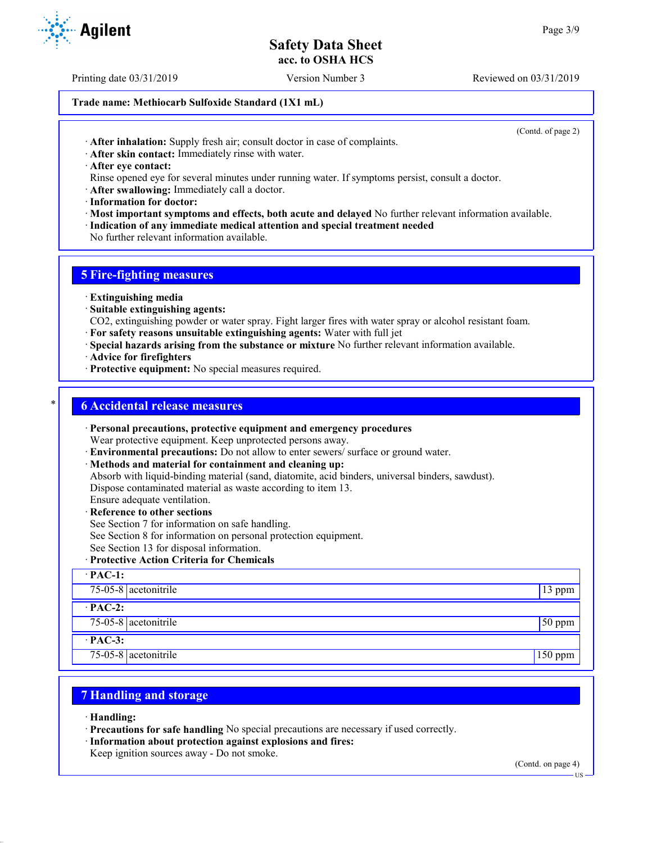Printing date 03/31/2019 Version Number 3 Reviewed on 03/31/2019

## **Trade name: Methiocarb Sulfoxide Standard (1X1 mL)**

(Contd. of page 2)

- · **After inhalation:** Supply fresh air; consult doctor in case of complaints.
- · **After skin contact:** Immediately rinse with water.
- · **After eye contact:**
- Rinse opened eye for several minutes under running water. If symptoms persist, consult a doctor.
- · **After swallowing:** Immediately call a doctor.
- · **Information for doctor:**
- · **Most important symptoms and effects, both acute and delayed** No further relevant information available.
- · **Indication of any immediate medical attention and special treatment needed**
- No further relevant information available.

# **5 Fire-fighting measures**

- · **Extinguishing media**
- · **Suitable extinguishing agents:**
- CO2, extinguishing powder or water spray. Fight larger fires with water spray or alcohol resistant foam.
- · **For safety reasons unsuitable extinguishing agents:** Water with full jet
- · **Special hazards arising from the substance or mixture** No further relevant information available.
- · **Advice for firefighters**
- · **Protective equipment:** No special measures required.

## \* **6 Accidental release measures**

- · **Personal precautions, protective equipment and emergency procedures** Wear protective equipment. Keep unprotected persons away.
- · **Environmental precautions:** Do not allow to enter sewers/ surface or ground water.
- · **Methods and material for containment and cleaning up:**
- Absorb with liquid-binding material (sand, diatomite, acid binders, universal binders, sawdust). Dispose contaminated material as waste according to item 13.
- Ensure adequate ventilation.
- · **Reference to other sections**
- See Section 7 for information on safe handling.
- See Section 8 for information on personal protection equipment.
- See Section 13 for disposal information.
- · **Protective Action Criteria for Chemicals**

| $\cdot$ PAC-1:       |           |
|----------------------|-----------|
| 75-05-8 acetonitrile | $13$ ppm  |
| $\cdot$ PAC-2:       |           |
| 75-05-8 acetonitrile | $50$ ppm  |
| $\cdot$ PAC-3:       |           |
| 75-05-8 acetonitrile | $150$ ppm |

# **7 Handling and storage**

- · **Handling:**
- · **Precautions for safe handling** No special precautions are necessary if used correctly.
- · **Information about protection against explosions and fires:**
- Keep ignition sources away Do not smoke.

(Contd. on page 4)

**Agilent**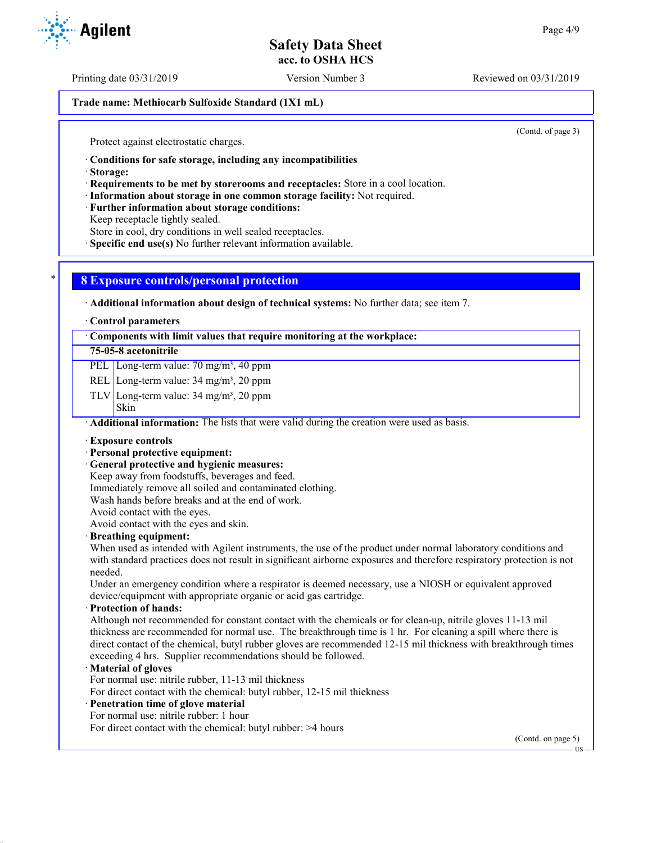Printing date 03/31/2019 Version Number 3 Reviewed on 03/31/2019

**Trade name: Methiocarb Sulfoxide Standard (1X1 mL)**

(Contd. of page 3)

Protect against electrostatic charges.

· **Conditions for safe storage, including any incompatibilities**

· **Storage:**

· **Requirements to be met by storerooms and receptacles:** Store in a cool location.

· **Information about storage in one common storage facility:** Not required.

· **Further information about storage conditions:**

Keep receptacle tightly sealed.

Store in cool, dry conditions in well sealed receptacles.

· **Specific end use(s)** No further relevant information available.

## \* **8 Exposure controls/personal protection**

· **Additional information about design of technical systems:** No further data; see item 7.

· **Control parameters**

· **Components with limit values that require monitoring at the workplace:**

## **75-05-8 acetonitrile**

PEL Long-term value: 70 mg/m<sup>3</sup>, 40 ppm

REL Long-term value: 34 mg/m<sup>3</sup>, 20 ppm

TLV Long-term value:  $34 \text{ mg/m}^3$ ,  $20 \text{ ppm}$ 

Skin

· **Additional information:** The lists that were valid during the creation were used as basis.

#### · **Exposure controls**

#### · **Personal protective equipment:**

· **General protective and hygienic measures:**

Keep away from foodstuffs, beverages and feed.

Immediately remove all soiled and contaminated clothing.

Wash hands before breaks and at the end of work.

Avoid contact with the eyes.

Avoid contact with the eyes and skin.

#### · **Breathing equipment:**

When used as intended with Agilent instruments, the use of the product under normal laboratory conditions and with standard practices does not result in significant airborne exposures and therefore respiratory protection is not needed.

Under an emergency condition where a respirator is deemed necessary, use a NIOSH or equivalent approved device/equipment with appropriate organic or acid gas cartridge.

#### · **Protection of hands:**

Although not recommended for constant contact with the chemicals or for clean-up, nitrile gloves 11-13 mil thickness are recommended for normal use. The breakthrough time is 1 hr. For cleaning a spill where there is direct contact of the chemical, butyl rubber gloves are recommended 12-15 mil thickness with breakthrough times exceeding 4 hrs. Supplier recommendations should be followed.

#### · **Material of gloves**

For normal use: nitrile rubber, 11-13 mil thickness

For direct contact with the chemical: butyl rubber, 12-15 mil thickness

# · **Penetration time of glove material**

For normal use: nitrile rubber: 1 hour For direct contact with the chemical: butyl rubber: >4 hours

(Contd. on page 5)

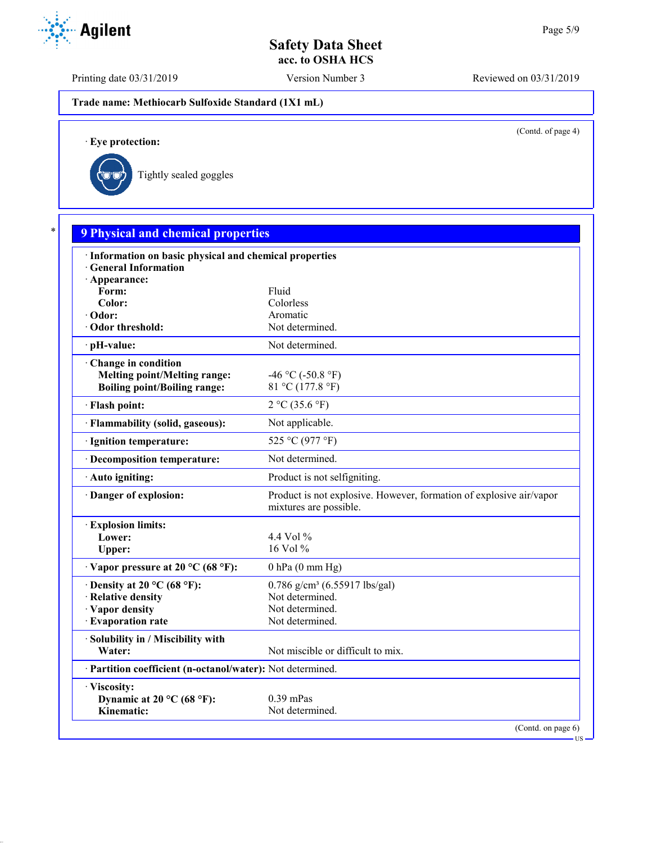Printing date 03/31/2019 Version Number 3 Reviewed on 03/31/2019

**Trade name: Methiocarb Sulfoxide Standard (1X1 mL)**

(Contd. of page 4)

US

· **Eye protection:**



| · Information on basic physical and chemical properties    |                                                                                               |
|------------------------------------------------------------|-----------------------------------------------------------------------------------------------|
| <b>General Information</b>                                 |                                                                                               |
| · Appearance:                                              |                                                                                               |
| Form:                                                      | Fluid                                                                                         |
| Color:                                                     | Colorless                                                                                     |
| · Odor:                                                    | Aromatic                                                                                      |
| Odor threshold:                                            | Not determined.                                                                               |
| · pH-value:                                                | Not determined.                                                                               |
| Change in condition                                        |                                                                                               |
| <b>Melting point/Melting range:</b>                        | -46 °C (-50.8 °F)                                                                             |
| <b>Boiling point/Boiling range:</b>                        | 81 °C (177.8 °F)                                                                              |
| · Flash point:                                             | 2 °C (35.6 °F)                                                                                |
| · Flammability (solid, gaseous):                           | Not applicable.                                                                               |
| · Ignition temperature:                                    | 525 °C (977 °F)                                                                               |
| · Decomposition temperature:                               | Not determined.                                                                               |
| · Auto igniting:                                           | Product is not selfigniting.                                                                  |
| Danger of explosion:                                       | Product is not explosive. However, formation of explosive air/vapor<br>mixtures are possible. |
| <b>Explosion limits:</b>                                   |                                                                                               |
| Lower:                                                     | 4.4 Vol $\%$                                                                                  |
| Upper:                                                     | $16$ Vol $%$                                                                                  |
| $\cdot$ Vapor pressure at 20 °C (68 °F):                   | $0$ hPa $(0$ mm Hg)                                                                           |
| $\cdot$ Density at 20 °C (68 °F):                          | $0.786$ g/cm <sup>3</sup> (6.55917 lbs/gal)                                                   |
| · Relative density                                         | Not determined.                                                                               |
| · Vapor density                                            | Not determined.                                                                               |
| · Evaporation rate                                         | Not determined.                                                                               |
| · Solubility in / Miscibility with                         |                                                                                               |
| Water:                                                     | Not miscible or difficult to mix.                                                             |
| · Partition coefficient (n-octanol/water): Not determined. |                                                                                               |
| · Viscosity:                                               |                                                                                               |
| Dynamic at 20 $^{\circ}$ C (68 $^{\circ}$ F):              | $0.39$ mPas                                                                                   |

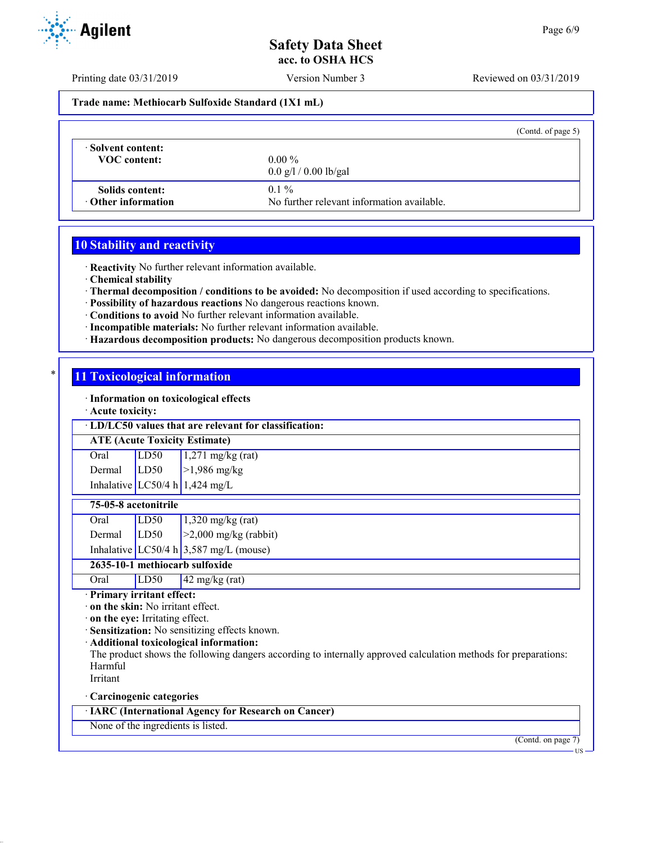Printing date 03/31/2019 Version Number 3 Reviewed on 03/31/2019

**Trade name: Methiocarb Sulfoxide Standard (1X1 mL)**

|                           | (Contd. of page 5)                         |
|---------------------------|--------------------------------------------|
| Solvent content:          | $0.00\%$                                   |
| <b>VOC</b> content:       | $0.0 \frac{g}{1} / 0.00 \frac{g}{g}$       |
| Solids content:           | $0.1\%$                                    |
| $\cdot$ Other information | No further relevant information available. |

## **10 Stability and reactivity**

· **Reactivity** No further relevant information available.

· **Chemical stability**

· **Thermal decomposition / conditions to be avoided:** No decomposition if used according to specifications.

- · **Possibility of hazardous reactions** No dangerous reactions known.
- · **Conditions to avoid** No further relevant information available.
- · **Incompatible materials:** No further relevant information available.
- · **Hazardous decomposition products:** No dangerous decomposition products known.

## **11 Toxicological information**

· **Information on toxicological effects**

· **Acute toxicity:**

### · **LD/LC50 values that are relevant for classification:**

**ATE (Acute Toxicity Estimate)**

| Oral          | LD50 | $1,271$ mg/kg (rat)            |
|---------------|------|--------------------------------|
| Dermal $LD50$ |      | >1,986 mg/kg                   |
|               |      | Inhalative LC50/4 h 1,424 mg/L |

## **75-05-8 acetonitrile**

| Oral            | LD50 | $1,320$ mg/kg (rat)                        |
|-----------------|------|--------------------------------------------|
| Dermal $ LD50 $ |      | $\vert$ >2,000 mg/kg (rabbit)              |
|                 |      | Inhalative $LC50/4 h   3,587 mg/L$ (mouse) |

**2635-10-1 methiocarb sulfoxide**

Oral LD50 42 mg/kg (rat)

· **Primary irritant effect:**

· **on the skin:** No irritant effect.

· **on the eye:** Irritating effect.

· **Sensitization:** No sensitizing effects known.

## · **Additional toxicological information:**

The product shows the following dangers according to internally approved calculation methods for preparations: Harmful

Irritant

## · **Carcinogenic categories**

· **IARC (International Agency for Research on Cancer)**

None of the ingredients is listed.

(Contd. on page 7)

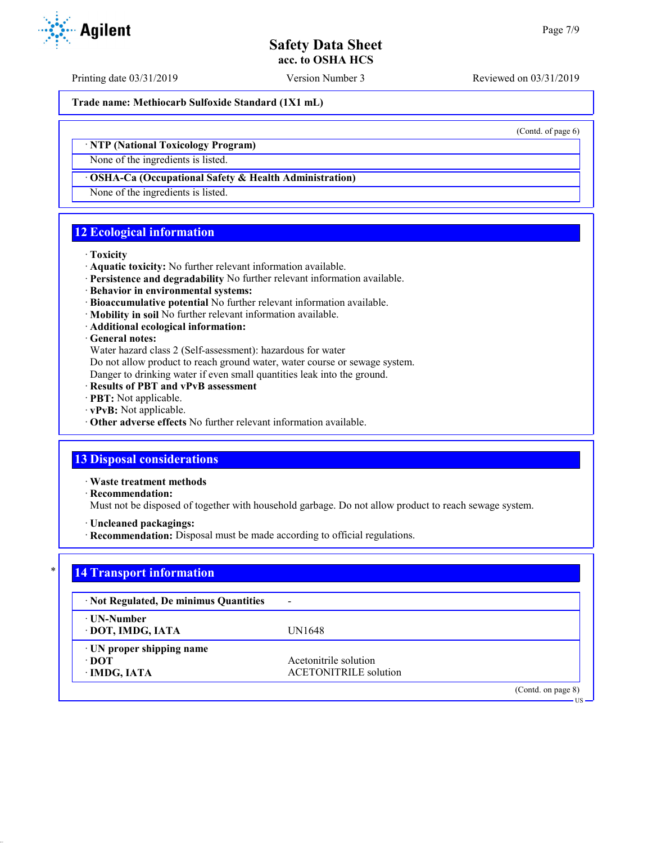US

# **Safety Data Sheet acc. to OSHA HCS**

Printing date 03/31/2019 Version Number 3 Reviewed on 03/31/2019

**Trade name: Methiocarb Sulfoxide Standard (1X1 mL)**

(Contd. of page 6)

## · **NTP (National Toxicology Program)**

None of the ingredients is listed.

#### · **OSHA-Ca (Occupational Safety & Health Administration)**

None of the ingredients is listed.

## **12 Ecological information**

#### · **Toxicity**

- · **Aquatic toxicity:** No further relevant information available.
- · **Persistence and degradability** No further relevant information available.
- · **Behavior in environmental systems:**
- · **Bioaccumulative potential** No further relevant information available.
- · **Mobility in soil** No further relevant information available.
- · **Additional ecological information:**

#### · **General notes:**

Water hazard class 2 (Self-assessment): hazardous for water

Do not allow product to reach ground water, water course or sewage system.

Danger to drinking water if even small quantities leak into the ground.

- · **Results of PBT and vPvB assessment**
- · **PBT:** Not applicable.
- · **vPvB:** Not applicable.
- · **Other adverse effects** No further relevant information available.

# **13 Disposal considerations**

· **Waste treatment methods**

· **Recommendation:**

Must not be disposed of together with household garbage. Do not allow product to reach sewage system.

- · **Uncleaned packagings:**
- · **Recommendation:** Disposal must be made according to official regulations.

## **14 Transport information**

| · Not Regulated, De minimus Quantities             | -                                                     |
|----------------------------------------------------|-------------------------------------------------------|
| ⋅ UN-Number<br>· DOT, IMDG, IATA                   | UN1648                                                |
| · UN proper shipping name<br>∙ DOT<br>· IMDG, IATA | Acetonitrile solution<br><b>ACETONITRILE</b> solution |
|                                                    | (Contd. on page 8)                                    |

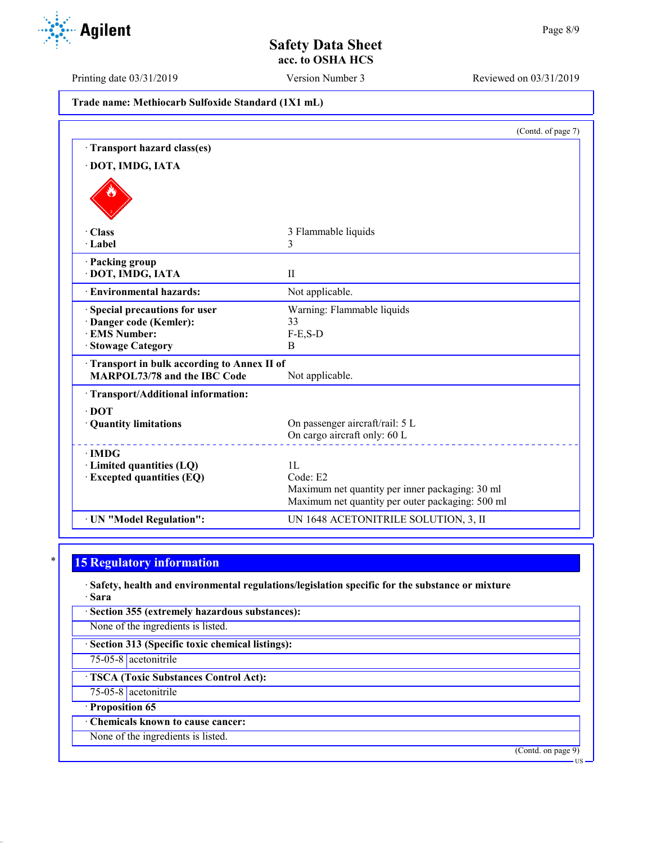Printing date 03/31/2019 Version Number 3 Reviewed on 03/31/2019

|  | Trade name: Methiocarb Sulfoxide Standard (1X1 mL) |  |  |  |  |
|--|----------------------------------------------------|--|--|--|--|
|--|----------------------------------------------------|--|--|--|--|

|                                                                            | (Contd. of page 7)                               |
|----------------------------------------------------------------------------|--------------------------------------------------|
| Transport hazard class(es)                                                 |                                                  |
| · DOT, IMDG, IATA                                                          |                                                  |
|                                                                            |                                                  |
| · Class                                                                    | 3 Flammable liquids                              |
| · Label                                                                    | 3                                                |
| · Packing group<br>· DOT, IMDG, IATA                                       | $\mathbf{H}$                                     |
| · Environmental hazards:                                                   | Not applicable.                                  |
| Special precautions for user                                               | Warning: Flammable liquids                       |
| · Danger code (Kemler):                                                    | 33                                               |
| <b>EMS Number:</b>                                                         | $F-E,S-D$                                        |
| <b>Stowage Category</b>                                                    | B                                                |
| Transport in bulk according to Annex II of<br>MARPOL73/78 and the IBC Code | Not applicable.                                  |
| · Transport/Additional information:                                        |                                                  |
| $\cdot$ DOT                                                                |                                                  |
| · Quantity limitations                                                     | On passenger aircraft/rail: 5 L                  |
|                                                                            | On cargo aircraft only: 60 L                     |
| $\cdot$ IMDG                                                               |                                                  |
| $\cdot$ Limited quantities (LQ)                                            | 1L                                               |
| · Excepted quantities (EQ)                                                 | Code: E2                                         |
|                                                                            | Maximum net quantity per inner packaging: 30 ml  |
|                                                                            | Maximum net quantity per outer packaging: 500 ml |
| · UN "Model Regulation":                                                   | UN 1648 ACETONITRILE SOLUTION, 3, II             |

# **15 Regulatory information**

· **Safety, health and environmental regulations/legislation specific for the substance or mixture** · **Sara**

· **Section 355 (extremely hazardous substances):**

None of the ingredients is listed.

· **Section 313 (Specific toxic chemical listings):**

75-05-8 acetonitrile

· **TSCA (Toxic Substances Control Act):**

75-05-8 acetonitrile

· **Proposition 65**

· **Chemicals known to cause cancer:**

None of the ingredients is listed.

(Contd. on page 9)



US